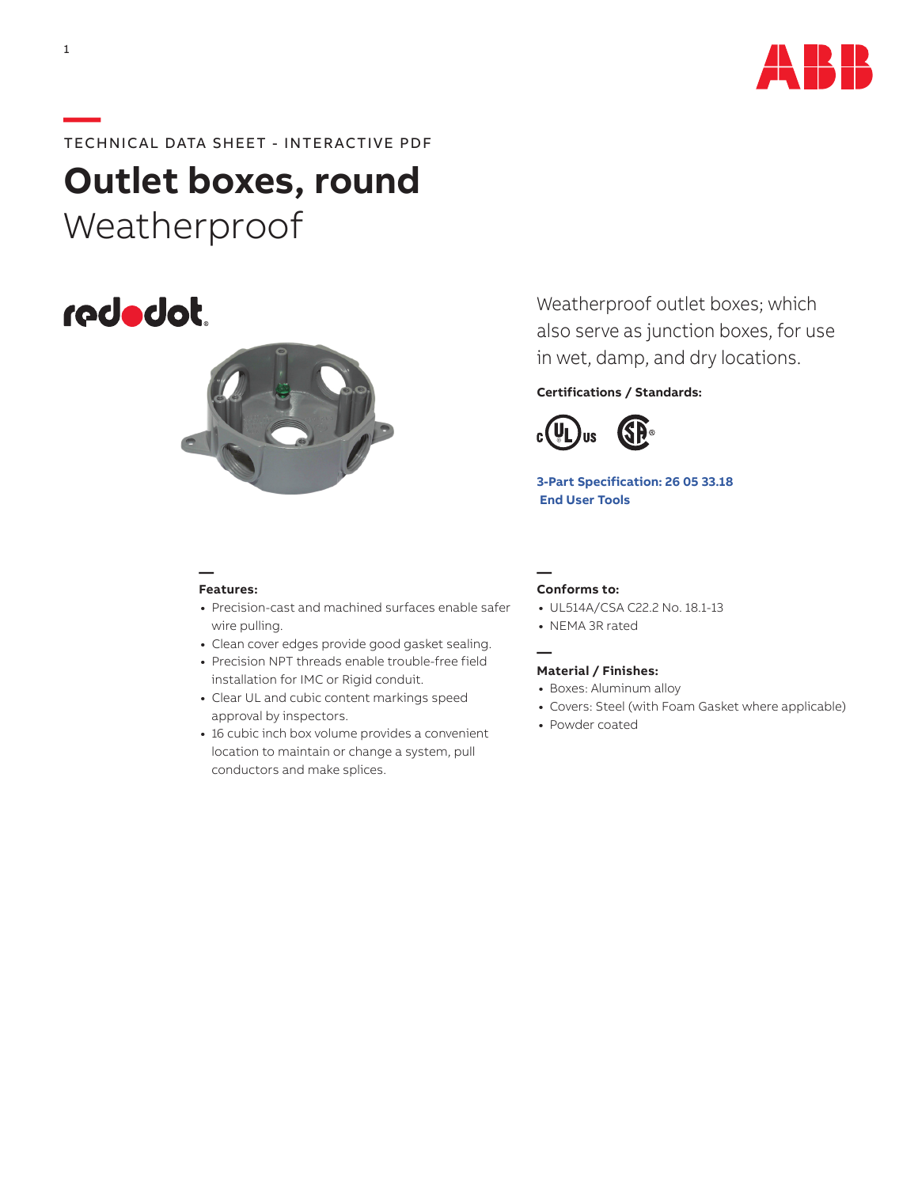

# **—**TECHNICAL DATA SHEET - INTERACTIVE PDF

**Outlet boxes, round** Weatherproof





Weatherproof outlet boxes; which also serve as junction boxes, for use in wet, damp, and dry locations.

## **Certifications / Standards:**



**[3-Part Specification:](http://www-public.tnb.com/ps/pubint/specguide.cgi) 26 05 33.18  [End User Tools](http://tnb.abb.com/pub/en/node/258)**

## **— Features:**

- **•** Precision-cast and machined surfaces enable safer wire pulling.
- **•** Clean cover edges provide good gasket sealing.
- **•** Precision NPT threads enable trouble-free field installation for IMC or Rigid conduit.
- **•** Clear UL and cubic content markings speed approval by inspectors.
- **•** 16 cubic inch box volume provides a convenient location to maintain or change a system, pull conductors and make splices.

#### **— Conforms to:**

**—**

- **•** UL514A/CSA C22.2 No. 18.1-13
- **•** NEMA 3R rated

### **Material / Finishes:**

- **•** Boxes: Aluminum alloy
- **•** Covers: Steel (with Foam Gasket where applicable)
- **•** Powder coated